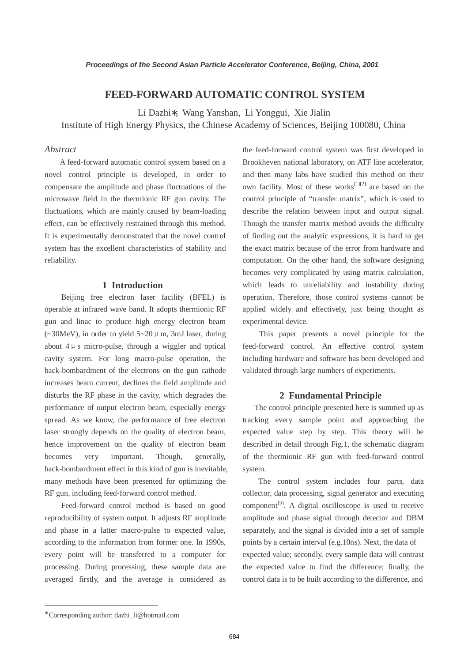# **FEED-FORWARD AUTOMATIC CONTROL SYSTEM**

Li Dazhi∗, Wang Yanshan, Li Yonggui, Xie Jialin Institute of High Energy Physics, the Chinese Academy of Sciences, Beijing 100080, China

### *Abstract*

A feed-forward automatic control system based on a novel control principle is developed, in order to compensate the amplitude and phase fluctuations of the microwave field in the thermionic RF gun cavity. The fluctuations, which are mainly caused by beam-loading effect, can be effectively restrained through this method. It is experimentally demonstrated that the novel control system has the excellent characteristics of stability and reliability.

## **1 Introduction**

Beijing free electron laser facility (BFEL) is operable at infrared wave band. It adopts thermionic RF gun and linac to produce high energy electron beam ( $\sim$ 30MeV), in order to yield  $5 \sim 20 \mu$  m, 3mJ laser, during about  $4 \mu s$  micro-pulse, through a wiggler and optical cavity system. For long macro-pulse operation, the back-bombardment of the electrons on the gun cathode increases beam current, declines the field amplitude and disturbs the RF phase in the cavity, which degrades the performance of output electron beam, especially energy spread. As we know, the performance of free electron laser strongly depends on the quality of electron beam, hence improvement on the quality of electron beam becomes very important. Though, generally, back-bombardment effect in this kind of gun is inevitable, many methods have been presented for optimizing the RF gun, including feed-forward control method.

Feed-forward control method is based on good reproducibility of system output. It adjusts RF amplitude and phase in a latter macro-pulse to expected value, according to the information from former one. In 1990s, every point will be transferred to a computer for processing. During processing, these sample data are averaged firstly, and the average is considered as

the feed-forward control system was first developed in Brookheven national laboratory, on ATF line accelerator, and then many labs have studied this method on their own facility. Most of these works<sup>[1][2]</sup> are based on the control principle of "transfer matrix", which is used to describe the relation between input and output signal. Though the transfer matrix method avoids the difficulty of finding out the analytic expressions, it is hard to get the exact matrix because of the error from hardware and computation. On the other hand, the software designing becomes very complicated by using matrix calculation, which leads to unreliability and instability during operation. Therefore, those control systems cannot be applied widely and effectively, just being thought as experimental device.

This paper presents a novel principle for the feed-forward control. An effective control system including hardware and software has been developed and validated through large numbers of experiments.

#### **2 Fundamental Principle**

 The control principle presented here is summed up as tracking every sample point and approaching the expected value step by step. This theory will be described in detail through Fig.1, the schematic diagram of the thermionic RF gun with feed-forward control system.

 The control system includes four parts, data collector, data processing, signal generator and executing  $component<sup>[3]</sup>$ . A digital oscilloscope is used to receive amplitude and phase signal through detector and DBM separately, and the signal is divided into a set of sample points by a certain interval (e.g.10ns). Next, the data of expected value; secondly, every sample data will contrast the expected value to find the difference; finally, the control data is to be built according to the difference, and

 $\overline{a}$ 

<sup>∗</sup> Corresponding author: dazhi\_li@hotmail.com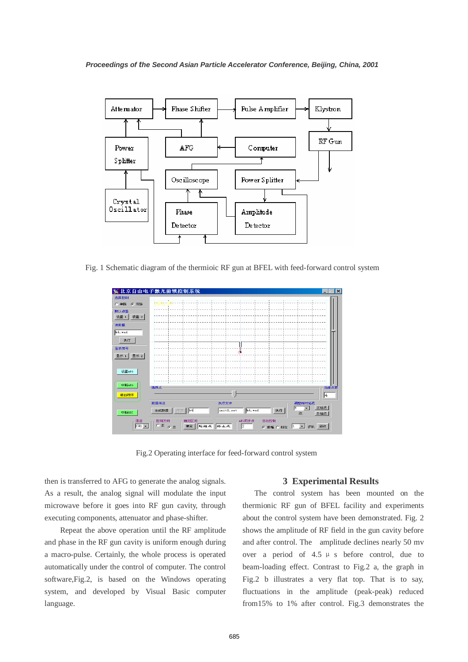

Fig. 1 Schematic diagram of the thermioic RF gun at BFEL with feed-forward control system



Fig.2 Operating interface for feed-forward control system

then is transferred to AFG to generate the analog signals. As a result, the analog signal will modulate the input microwave before it goes into RF gun cavity, through executing components, attenuator and phase-shifter.

Repeat the above operation until the RF amplitude and phase in the RF gun cavity is uniform enough during a macro-pulse. Certainly, the whole process is operated automatically under the control of computer. The control software,Fig.2, is based on the Windows operating system, and developed by Visual Basic computer language.

#### **3 Experimental Results**

 The control system has been mounted on the thermionic RF gun of BFEL facility and experiments about the control system have been demonstrated. Fig. 2 shows the amplitude of RF field in the gun cavity before and after control. The amplitude declines nearly 50 mv over a period of  $4.5 \mu s$  before control, due to beam-loading effect. Contrast to Fig.2 a, the graph in Fig.2 b illustrates a very flat top. That is to say, fluctuations in the amplitude (peak-peak) reduced from15% to 1% after control. Fig.3 demonstrates the